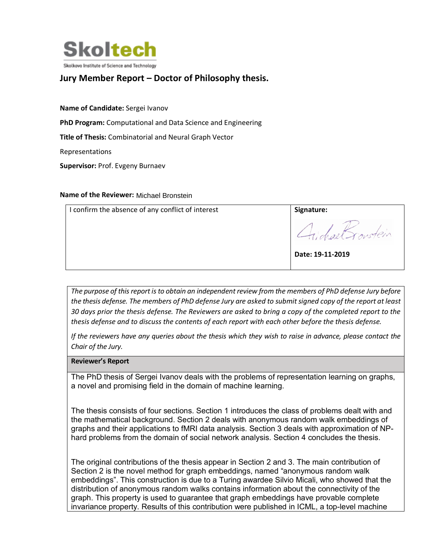

## **Jury Member Report – Doctor of Philosophy thesis.**

**Name of Candidate:** Sergei Ivanov

**PhD Program:** Computational and Data Science and Engineering

**Title of Thesis:** Combinatorial and Neural Graph Vector

Representations

**Supervisor:** Prof. Evgeny Burnaev

## **Name of the Reviewer:** Michael Bronstein

| I confirm the absence of any conflict of interest | Signature:       |
|---------------------------------------------------|------------------|
|                                                   | Fichael Tonstein |
|                                                   | Date: 19-11-2019 |

*The purpose of this report is to obtain an independent review from the members of PhD defense Jury before the thesis defense. The members of PhD defense Jury are asked to submit signed copy of the report at least 30 days prior the thesis defense. The Reviewers are asked to bring a copy of the completed report to the thesis defense and to discuss the contents of each report with each other before the thesis defense.* 

*If the reviewers have any queries about the thesis which they wish to raise in advance, please contact the Chair of the Jury.*

## **Reviewer's Report**

The PhD thesis of Sergei Ivanov deals with the problems of representation learning on graphs, a novel and promising field in the domain of machine learning.

The thesis consists of four sections. Section 1 introduces the class of problems dealt with and the mathematical background. Section 2 deals with anonymous random walk embeddings of graphs and their applications to fMRI data analysis. Section 3 deals with approximation of NPhard problems from the domain of social network analysis. Section 4 concludes the thesis.

The original contributions of the thesis appear in Section 2 and 3. The main contribution of Section 2 is the novel method for graph embeddings, named "anonymous random walk embeddings". This construction is due to a Turing awardee Silvio Micali, who showed that the distribution of anonymous random walks contains information about the connectivity of the graph. This property is used to guarantee that graph embeddings have provable complete invariance property. Results of this contribution were published in ICML, a top-level machine